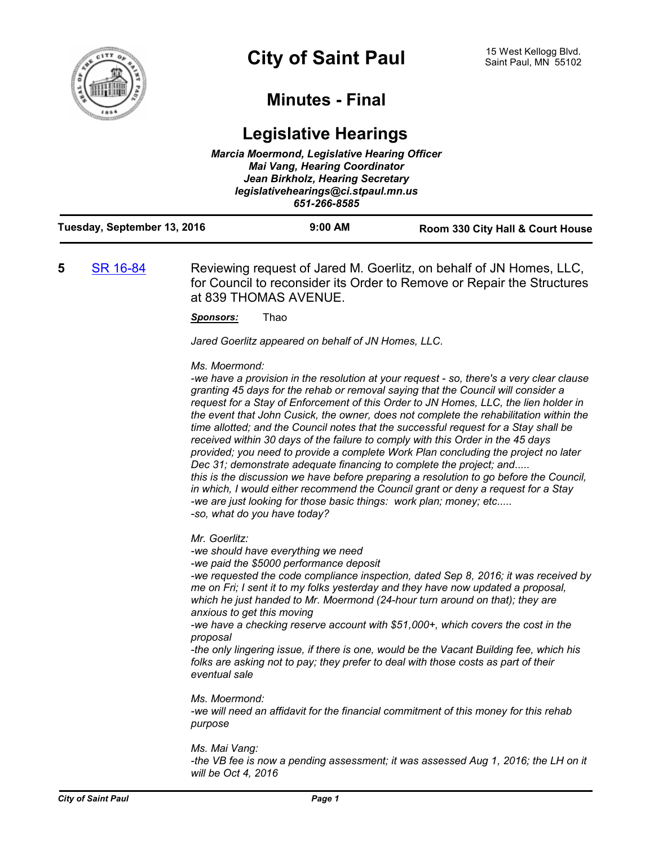

## **Minutes - Final**

## **Legislative Hearings** *Marcia Moermond, Legislative Hearing Officer*

|                             | <b>Mai Vang, Hearing Coordinator</b><br>Jean Birkholz, Hearing Secretary<br>legislativehearings@ci.stpaul.mn.us<br>651-266-8585 |                                  |
|-----------------------------|---------------------------------------------------------------------------------------------------------------------------------|----------------------------------|
| Tuesday, September 13, 2016 | $9:00$ AM                                                                                                                       | Room 330 City Hall & Court House |

## **5** [SR 16-84](http://stpaul.legistar.com/gateway.aspx?m=l&id=/matter.aspx?key=22504) Reviewing request of Jared M. Goerlitz, on behalf of JN Homes, LLC, for Council to reconsider its Order to Remove or Repair the Structures at 839 THOMAS AVENUE.

*Sponsors:* Thao

*Jared Goerlitz appeared on behalf of JN Homes, LLC.*

*Ms. Moermond:*

*-we have a provision in the resolution at your request - so, there's a very clear clause granting 45 days for the rehab or removal saying that the Council will consider a request for a Stay of Enforcement of this Order to JN Homes, LLC, the lien holder in the event that John Cusick, the owner, does not complete the rehabilitation within the time allotted; and the Council notes that the successful request for a Stay shall be received within 30 days of the failure to comply with this Order in the 45 days provided; you need to provide a complete Work Plan concluding the project no later Dec 31; demonstrate adequate financing to complete the project; and..... this is the discussion we have before preparing a resolution to go before the Council, in which, I would either recommend the Council grant or deny a request for a Stay -we are just looking for those basic things: work plan; money; etc..... -so, what do you have today?*

*Mr. Goerlitz:*

*-we should have everything we need*

*-we paid the \$5000 performance deposit*

*-we requested the code compliance inspection, dated Sep 8, 2016; it was received by me on Fri; I sent it to my folks yesterday and they have now updated a proposal, which he just handed to Mr. Moermond (24-hour turn around on that); they are anxious to get this moving*

*-we have a checking reserve account with \$51,000+, which covers the cost in the proposal*

*-the only lingering issue, if there is one, would be the Vacant Building fee, which his folks are asking not to pay; they prefer to deal with those costs as part of their eventual sale*

*Ms. Moermond: -we will need an affidavit for the financial commitment of this money for this rehab purpose*

*Ms. Mai Vang: -the VB fee is now a pending assessment; it was assessed Aug 1, 2016; the LH on it will be Oct 4, 2016*